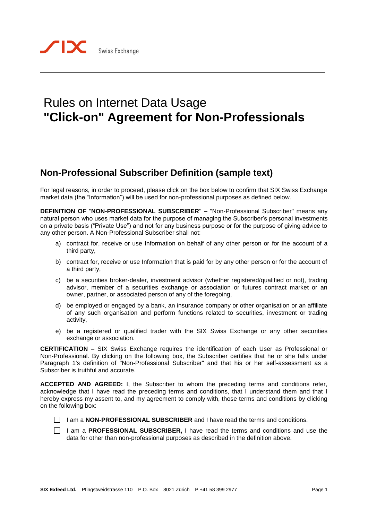## Rules on Internet Data Usage **"Click-on" Agreement for Non-Professionals**

## **Non-Professional Subscriber Definition (sample text)**

For legal reasons, in order to proceed, please click on the box below to confirm that SIX Swiss Exchange market data (the "Information") will be used for non-professional purposes as defined below.

**DEFINITION OF** "**NON-PROFESSIONAL SUBSCRIBER**" **–** "Non-Professional Subscriber" means any natural person who uses market data for the purpose of managing the Subscriber's personal investments on a private basis ("Private Use") and not for any business purpose or for the purpose of giving advice to any other person. A Non-Professional Subscriber shall not:

- a) contract for, receive or use Information on behalf of any other person or for the account of a third party,
- b) contract for, receive or use Information that is paid for by any other person or for the account of a third party,
- c) be a securities broker-dealer, investment advisor (whether registered/qualified or not), trading advisor, member of a securities exchange or association or futures contract market or an owner, partner, or associated person of any of the foregoing,
- d) be employed or engaged by a bank, an insurance company or other organisation or an affiliate of any such organisation and perform functions related to securities, investment or trading activity,
- e) be a registered or qualified trader with the SIX Swiss Exchange or any other securities exchange or association.

**CERTIFICATION –** SIX Swiss Exchange requires the identification of each User as Professional or Non-Professional. By clicking on the following box, the Subscriber certifies that he or she falls under Paragraph 1's definition of "Non-Professional Subscriber" and that his or her self-assessment as a Subscriber is truthful and accurate.

**ACCEPTED AND AGREED:** I, the Subscriber to whom the preceding terms and conditions refer, acknowledge that I have read the preceding terms and conditions, that I understand them and that I hereby express my assent to, and my agreement to comply with, those terms and conditions by clicking on the following box:

I am a **NON-PROFESSIONAL SUBSCRIBER** and I have read the terms and conditions.

I am a **PROFESSIONAL SUBSCRIBER,** I have read the terms and conditions and use the data for other than non-professional purposes as described in the definition above.